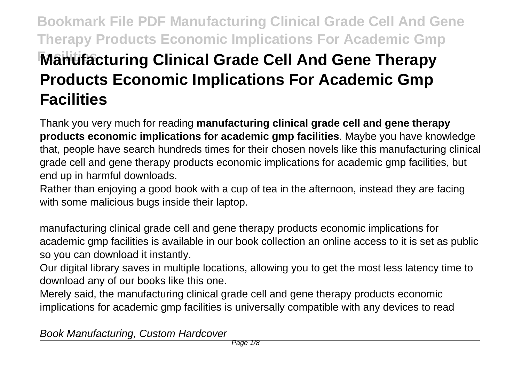# **Bookmark File PDF Manufacturing Clinical Grade Cell And Gene Therapy Products Economic Implications For Academic Gmp Manufacturing Clinical Grade Cell And Gene Therapy Products Economic Implications For Academic Gmp Facilities**

Thank you very much for reading **manufacturing clinical grade cell and gene therapy products economic implications for academic gmp facilities**. Maybe you have knowledge that, people have search hundreds times for their chosen novels like this manufacturing clinical grade cell and gene therapy products economic implications for academic gmp facilities, but end up in harmful downloads.

Rather than enjoying a good book with a cup of tea in the afternoon, instead they are facing with some malicious bugs inside their laptop.

manufacturing clinical grade cell and gene therapy products economic implications for academic gmp facilities is available in our book collection an online access to it is set as public so you can download it instantly.

Our digital library saves in multiple locations, allowing you to get the most less latency time to download any of our books like this one.

Merely said, the manufacturing clinical grade cell and gene therapy products economic implications for academic gmp facilities is universally compatible with any devices to read

Book Manufacturing, Custom Hardcover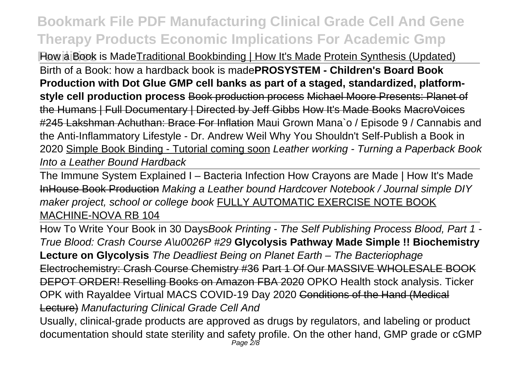**Flow a Book is MadeTraditional Bookbinding | How It's Made Protein Synthesis (Updated)** Birth of a Book: how a hardback book is made**PROSYSTEM - Children's Board Book Production with Dot Glue GMP cell banks as part of a staged, standardized, platformstyle cell production process** Book production process Michael Moore Presents: Planet of the Humans | Full Documentary | Directed by Jeff Gibbs How It's Made Books MacroVoices #245 Lakshman Achuthan: Brace For Inflation Maui Grown Mana`o / Episode 9 / Cannabis and the Anti-Inflammatory Lifestyle - Dr. Andrew Weil Why You Shouldn't Self-Publish a Book in 2020 Simple Book Binding - Tutorial coming soon Leather working - Turning a Paperback Book Into a Leather Bound Hardback

The Immune System Explained I – Bacteria Infection How Crayons are Made | How It's Made InHouse Book Production Making a Leather bound Hardcover Notebook / Journal simple DIY maker project, school or college book FULLY AUTOMATIC EXERCISE NOTE BOOK MACHINE-NOVA RB 104

How To Write Your Book in 30 DaysBook Printing - The Self Publishing Process Blood, Part 1 -True Blood: Crash Course A\u0026P #29 **Glycolysis Pathway Made Simple !! Biochemistry Lecture on Glycolysis** The Deadliest Being on Planet Earth – The Bacteriophage Electrochemistry: Crash Course Chemistry #36 Part 1 Of Our MASSIVE WHOLESALE BOOK DEPOT ORDER! Reselling Books on Amazon FBA 2020 OPKO Health stock analysis. Ticker OPK with Rayaldee Virtual MACS COVID-19 Day 2020 Conditions of the Hand (Medical Lecture) Manufacturing Clinical Grade Cell And

Usually, clinical-grade products are approved as drugs by regulators, and labeling or product documentation should state sterility and safety profile. On the other hand, GMP grade or cGMP<br>Page 2/8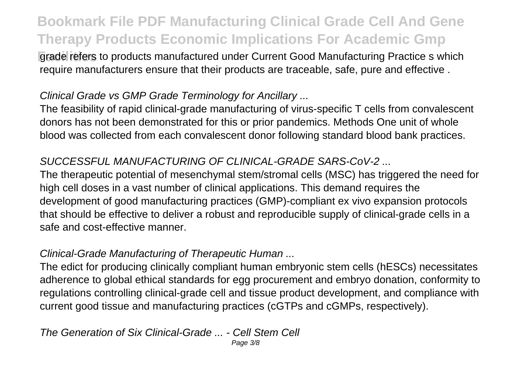**Farade refers to products manufactured under Current Good Manufacturing Practice s which** require manufacturers ensure that their products are traceable, safe, pure and effective .

#### Clinical Grade vs GMP Grade Terminology for Ancillary ...

The feasibility of rapid clinical-grade manufacturing of virus-specific T cells from convalescent donors has not been demonstrated for this or prior pandemics. Methods One unit of whole blood was collected from each convalescent donor following standard blood bank practices.

#### SUCCESSFUL MANUFACTURING OF CLINICAL-GRADE SARS-CoV-2 ...

The therapeutic potential of mesenchymal stem/stromal cells (MSC) has triggered the need for high cell doses in a vast number of clinical applications. This demand requires the development of good manufacturing practices (GMP)-compliant ex vivo expansion protocols that should be effective to deliver a robust and reproducible supply of clinical-grade cells in a safe and cost-effective manner.

#### Clinical-Grade Manufacturing of Therapeutic Human ...

The edict for producing clinically compliant human embryonic stem cells (hESCs) necessitates adherence to global ethical standards for egg procurement and embryo donation, conformity to regulations controlling clinical-grade cell and tissue product development, and compliance with current good tissue and manufacturing practices (cGTPs and cGMPs, respectively).

#### The Generation of Six Clinical-Grade ... - Cell Stem Cell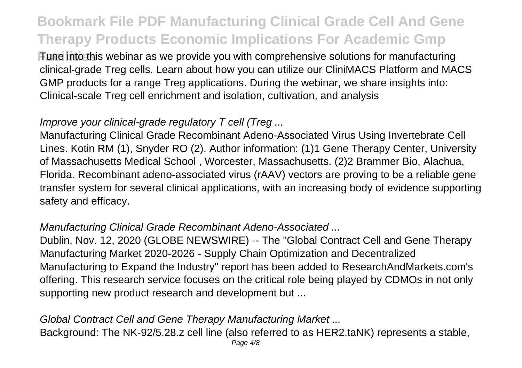**Fune into this webinar as we provide you with comprehensive solutions for manufacturing** clinical-grade Treg cells. Learn about how you can utilize our CliniMACS Platform and MACS GMP products for a range Treg applications. During the webinar, we share insights into: Clinical-scale Treg cell enrichment and isolation, cultivation, and analysis

#### Improve your clinical-grade regulatory T cell (Treg ...

Manufacturing Clinical Grade Recombinant Adeno-Associated Virus Using Invertebrate Cell Lines. Kotin RM (1), Snyder RO (2). Author information: (1)1 Gene Therapy Center, University of Massachusetts Medical School , Worcester, Massachusetts. (2)2 Brammer Bio, Alachua, Florida. Recombinant adeno-associated virus (rAAV) vectors are proving to be a reliable gene transfer system for several clinical applications, with an increasing body of evidence supporting safety and efficacy.

#### Manufacturing Clinical Grade Recombinant Adeno-Associated ...

Dublin, Nov. 12, 2020 (GLOBE NEWSWIRE) -- The "Global Contract Cell and Gene Therapy Manufacturing Market 2020-2026 - Supply Chain Optimization and Decentralized Manufacturing to Expand the Industry" report has been added to ResearchAndMarkets.com's offering. This research service focuses on the critical role being played by CDMOs in not only supporting new product research and development but ...

### Global Contract Cell and Gene Therapy Manufacturing Market ... Background: The NK-92/5.28.z cell line (also referred to as HER2.taNK) represents a stable,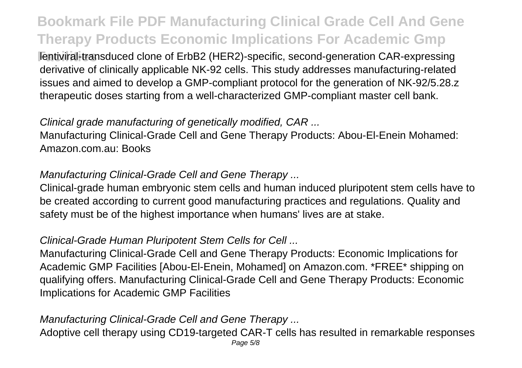**Fentiviral-transduced clone of ErbB2 (HER2)-specific, second-generation CAR-expressing** derivative of clinically applicable NK-92 cells. This study addresses manufacturing-related issues and aimed to develop a GMP-compliant protocol for the generation of NK-92/5.28.z therapeutic doses starting from a well-characterized GMP-compliant master cell bank.

#### Clinical grade manufacturing of genetically modified, CAR ...

Manufacturing Clinical-Grade Cell and Gene Therapy Products: Abou-El-Enein Mohamed: Amazon.com.au: Books

#### Manufacturing Clinical-Grade Cell and Gene Therapy ...

Clinical-grade human embryonic stem cells and human induced pluripotent stem cells have to be created according to current good manufacturing practices and regulations. Quality and safety must be of the highest importance when humans' lives are at stake.

#### Clinical-Grade Human Pluripotent Stem Cells for Cell ...

Manufacturing Clinical-Grade Cell and Gene Therapy Products: Economic Implications for Academic GMP Facilities [Abou-El-Enein, Mohamed] on Amazon.com. \*FREE\* shipping on qualifying offers. Manufacturing Clinical-Grade Cell and Gene Therapy Products: Economic Implications for Academic GMP Facilities

#### Manufacturing Clinical-Grade Cell and Gene Therapy ...

Adoptive cell therapy using CD19-targeted CAR-T cells has resulted in remarkable responses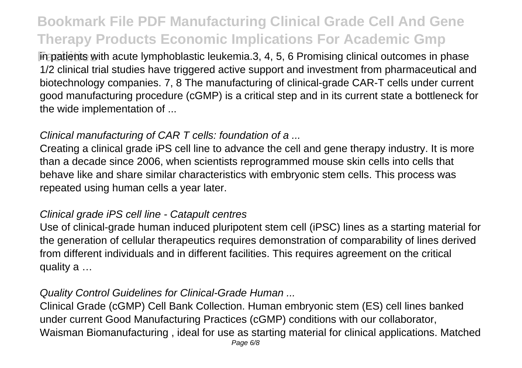**Facilities** with acute lymphoblastic leukemia.3, 4, 5, 6 Promising clinical outcomes in phase 1/2 clinical trial studies have triggered active support and investment from pharmaceutical and biotechnology companies. 7, 8 The manufacturing of clinical-grade CAR-T cells under current good manufacturing procedure (cGMP) is a critical step and in its current state a bottleneck for the wide implementation of ...

#### Clinical manufacturing of CAR T cells: foundation of a ...

Creating a clinical grade iPS cell line to advance the cell and gene therapy industry. It is more than a decade since 2006, when scientists reprogrammed mouse skin cells into cells that behave like and share similar characteristics with embryonic stem cells. This process was repeated using human cells a year later.

#### Clinical grade iPS cell line - Catapult centres

Use of clinical-grade human induced pluripotent stem cell (iPSC) lines as a starting material for the generation of cellular therapeutics requires demonstration of comparability of lines derived from different individuals and in different facilities. This requires agreement on the critical quality a …

#### Quality Control Guidelines for Clinical-Grade Human ...

Clinical Grade (cGMP) Cell Bank Collection. Human embryonic stem (ES) cell lines banked under current Good Manufacturing Practices (cGMP) conditions with our collaborator, Waisman Biomanufacturing , ideal for use as starting material for clinical applications. Matched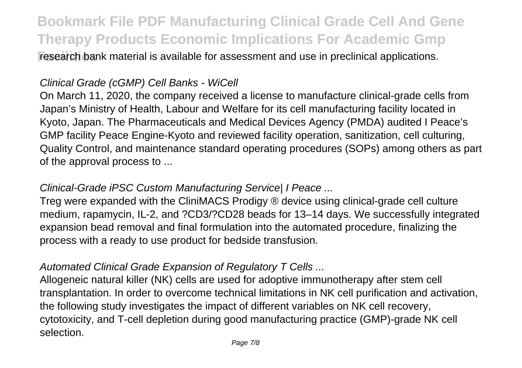**Facilities** research bank material is available for assessment and use in preclinical applications.

#### Clinical Grade (cGMP) Cell Banks - WiCell

On March 11, 2020, the company received a license to manufacture clinical-grade cells from Japan's Ministry of Health, Labour and Welfare for its cell manufacturing facility located in Kyoto, Japan. The Pharmaceuticals and Medical Devices Agency (PMDA) audited I Peace's GMP facility Peace Engine-Kyoto and reviewed facility operation, sanitization, cell culturing, Quality Control, and maintenance standard operating procedures (SOPs) among others as part of the approval process to ...

#### Clinical-Grade iPSC Custom Manufacturing Service| I Peace ...

Treg were expanded with the CliniMACS Prodigy ® device using clinical-grade cell culture medium, rapamycin, IL-2, and ?CD3/?CD28 beads for 13–14 days. We successfully integrated expansion bead removal and final formulation into the automated procedure, finalizing the process with a ready to use product for bedside transfusion.

#### Automated Clinical Grade Expansion of Regulatory T Cells ...

Allogeneic natural killer (NK) cells are used for adoptive immunotherapy after stem cell transplantation. In order to overcome technical limitations in NK cell purification and activation, the following study investigates the impact of different variables on NK cell recovery, cytotoxicity, and T-cell depletion during good manufacturing practice (GMP)-grade NK cell selection.